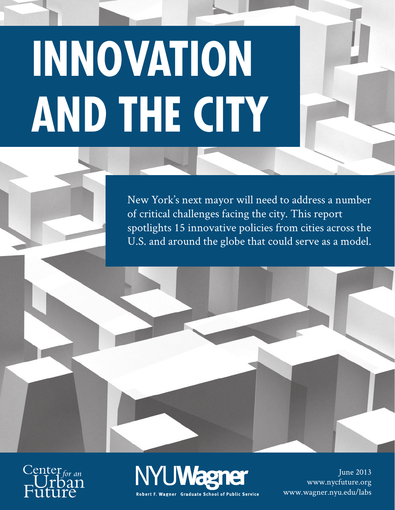# **Innovation and the city**

New York's next mayor will need to address a number of critical challenges facing the city. This report spotlights 15 innovative policies from cities across the U.S. and around the globe that could serve as a model.





June 2013 www.nycfuture.org www.wagner.nyu.edu/labs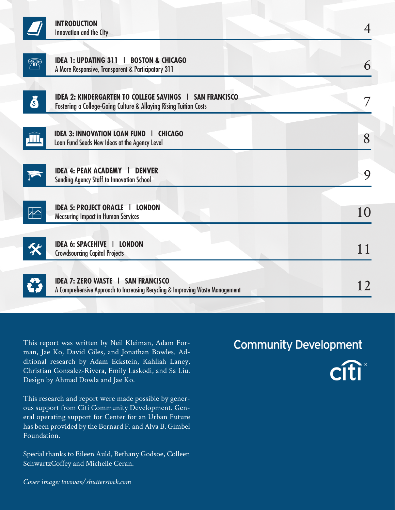|                                  | <b>INTRODUCTION</b><br><b>Innovation and the City</b>                                                                               | $\overline{4}$ |
|----------------------------------|-------------------------------------------------------------------------------------------------------------------------------------|----------------|
| <b>Fill</b>                      | <b>IDEA 1: UPDATING 311   BOSTON &amp; CHICAGO</b><br>A More Responsive, Transparent & Participatory 311                            | 6              |
| j                                | <b>IDEA 2: KINDERGARTEN TO COLLEGE SAVINGS   SAN FRANCISCO</b><br>Fostering a College-Going Culture & Allaying Rising Tuition Costs | 7              |
|                                  | <b>IDEA 3: INNOVATION LOAN FUND   CHICAGO</b><br>Loan Fund Seeds New Ideas at the Agency Level                                      | 8              |
|                                  | <b>IDEA 4: PEAK ACADEMY  </b><br><b>DENVER</b><br><b>Sending Agency Staff to Innovation School</b>                                  | 9              |
| $\overline{\mathbf{r}^{\prime}}$ | <b>IDEA 5: PROJECT ORACLE   LONDON</b><br><b>Measuring Impact in Human Services</b>                                                 | 10             |
|                                  | <b>IDEA 6: SPACEHIVE   LONDON</b><br><b>Crowdsourcing Capital Projects</b>                                                          | 11             |
|                                  | <b>IDEA 7: ZERO WASTE   SAN FRANCISCO</b><br>A Comprehensive Approach to Increasing Recycling & Improving Waste Management          | 12             |

This report was written by Neil Kleiman, Adam Forman, Jae Ko, David Giles, and Jonathan Bowles. Additional research by Adam Eckstein, Kahliah Laney, Christian Gonzalez-Rivera, Emily Laskodi, and Sa Liu. Design by Ahmad Dowla and Jae Ko.

This research and report were made possible by generous support from Citi Community Development. General operating support for Center for an Urban Future has been provided by the Bernard F. and Alva B. Gimbel Foundation.

Special thanks to Eileen Auld, Bethany Godsoe, Colleen SchwartzCoffey and Michelle Ceran.

### **Community Development**



*Cover image: tovovan/shutterstock.com*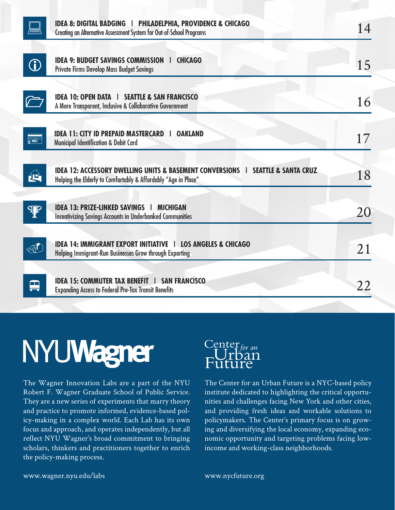| <b>IDEA 8: DIGITAL BADGING   PHILADELPHIA, PROVIDENCE &amp; CHICAGO</b><br>Creating an Alternative Assessment System for Out-of-School Programs                  | 14 |
|------------------------------------------------------------------------------------------------------------------------------------------------------------------|----|
| <b>IDEA 9: BUDGET SAVINGS COMMISSION  </b><br><b>CHICAGO</b><br><b>Private Firms Develop Mass Budget Savings</b>                                                 | 15 |
| <b>IDEA 10: OPEN DATA   SEATTLE &amp; SAN FRANCISCO</b><br>A More Transparent, Inclusive & Collaborative Government                                              | 16 |
| <b>IDEA 11: CITY ID PREPAID MASTERCARD</b><br><b>OAKLAND</b><br>-1<br>Municipal Identification & Debit Card                                                      | 17 |
| <b>IDEA 12: ACCESSORY DWELLING UNITS &amp; BASEMENT CONVERSIONS   SEATTLE &amp; SANTA CRUZ</b><br>Helping the Elderly to Comfortably & Affordably "Age in Place" | 18 |
| <b>IDEA 13: PRIZE-LINKED SAVINGS   MICHIGAN</b><br><b>Incentivizing Savings Accounts in Underbanked Communities</b>                                              | 20 |
| <b>IDEA 14: IMMIGRANT EXPORT INITIATIVE   LOS ANGELES &amp; CHICAGO</b><br>Helping Immigrant-Run Businesses Grow through Exporting                               | 21 |
| <b>IDEA 15: COMMUTER TAX BENEFIT   SAN FRANCISCO</b><br><b>Expanding Access to Federal Pre-Tax Transit Benefits</b>                                              | 22 |
|                                                                                                                                                                  |    |

The Wagner Innovation Labs are a part of the NYU Robert F. Wagner Graduate School of Public Service. They are a new series of experiments that marry theory and practice to promote informed, evidence-based policy-making in a complex world. Each Lab has its own focus and approach, and operates independently, but all reflect NYU Wagner's broad commitment to bringing scholars, thinkers and practitioners together to enrich the policy-making process.

### $C_{\mathbf{r}}^{\text{enter}}$ uture

The Center for an Urban Future is a NYC-based policy institute dedicated to highlighting the critical opportunities and challenges facing New York and other cities, and providing fresh ideas and workable solutions to policymakers. The Center's primary focus is on growing and diversifying the local economy, expanding economic opportunity and targeting problems facing lowincome and working-class neighborhoods.

www.wagner.nyu.edu/labs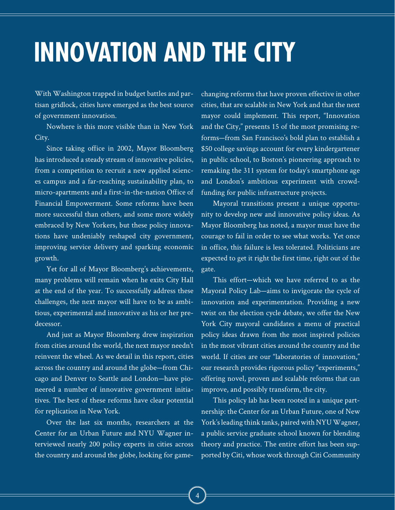### **Innovation and the city**

With Washington trapped in budget battles and partisan gridlock, cities have emerged as the best source of government innovation.

Nowhere is this more visible than in New York City.

Since taking office in 2002, Mayor Bloomberg has introduced a steady stream of innovative policies, from a competition to recruit a new applied sciences campus and a far-reaching sustainability plan, to micro-apartments and a first-in-the-nation Office of Financial Empowerment. Some reforms have been more successful than others, and some more widely embraced by New Yorkers, but these policy innovations have undeniably reshaped city government, improving service delivery and sparking economic growth.

Yet for all of Mayor Bloomberg's achievements, many problems will remain when he exits City Hall at the end of the year. To successfully address these challenges, the next mayor will have to be as ambitious, experimental and innovative as his or her predecessor.

And just as Mayor Bloomberg drew inspiration from cities around the world, the next mayor needn't reinvent the wheel. As we detail in this report, cities across the country and around the globe—from Chicago and Denver to Seattle and London—have pioneered a number of innovative government initiatives. The best of these reforms have clear potential for replication in New York.

Over the last six months, researchers at the Center for an Urban Future and NYU Wagner interviewed nearly 200 policy experts in cities across the country and around the globe, looking for game-

changing reforms that have proven effective in other cities, that are scalable in New York and that the next mayor could implement. This report, "Innovation and the City," presents 15 of the most promising reforms—from San Francisco's bold plan to establish a \$50 college savings account for every kindergartener in public school, to Boston's pioneering approach to remaking the 311 system for today's smartphone age and London's ambitious experiment with crowdfunding for public infrastructure projects.

Mayoral transitions present a unique opportunity to develop new and innovative policy ideas. As Mayor Bloomberg has noted, a mayor must have the courage to fail in order to see what works. Yet once in office, this failure is less tolerated. Politicians are expected to get it right the first time, right out of the gate.

This effort—which we have referred to as the Mayoral Policy Lab—aims to invigorate the cycle of innovation and experimentation. Providing a new twist on the election cycle debate, we offer the New York City mayoral candidates a menu of practical policy ideas drawn from the most inspired policies in the most vibrant cities around the country and the world. If cities are our "laboratories of innovation," our research provides rigorous policy "experiments," offering novel, proven and scalable reforms that can improve, and possibly transform, the city.

This policy lab has been rooted in a unique partnership: the Center for an Urban Future, one of New York's leading think tanks, paired with NYU Wagner, a public service graduate school known for blending theory and practice. The entire effort has been supported by Citi, whose work through Citi Community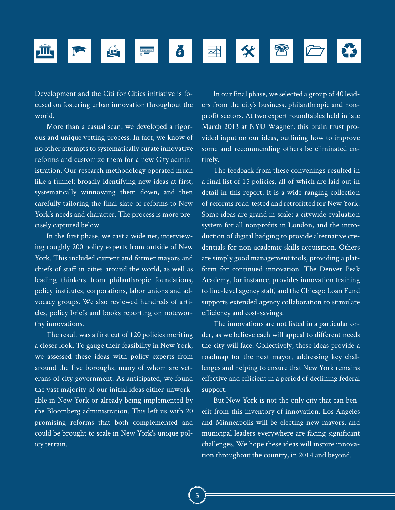

Development and the Citi for Cities initiative is focused on fostering urban innovation throughout the world.

More than a casual scan, we developed a rigorous and unique vetting process. In fact, we know of no other attempts to systematically curate innovative reforms and customize them for a new City administration. Our research methodology operated much like a funnel: broadly identifying new ideas at first, systematically winnowing them down, and then carefully tailoring the final slate of reforms to New York's needs and character. The process is more precisely captured below.

In the first phase, we cast a wide net, interviewing roughly 200 policy experts from outside of New York. This included current and former mayors and chiefs of staff in cities around the world, as well as leading thinkers from philanthropic foundations, policy institutes, corporations, labor unions and advocacy groups. We also reviewed hundreds of articles, policy briefs and books reporting on noteworthy innovations.

The result was a first cut of 120 policies meriting a closer look. To gauge their feasibility in New York, we assessed these ideas with policy experts from around the five boroughs, many of whom are veterans of city government. As anticipated, we found the vast majority of our initial ideas either unworkable in New York or already being implemented by the Bloomberg administration. This left us with 20 promising reforms that both complemented and could be brought to scale in New York's unique policy terrain.

In our final phase, we selected a group of 40 leaders from the city's business, philanthropic and nonprofit sectors. At two expert roundtables held in late March 2013 at NYU Wagner, this brain trust provided input on our ideas, outlining how to improve some and recommending others be eliminated entirely.

The feedback from these convenings resulted in a final list of 15 policies, all of which are laid out in detail in this report. It is a wide-ranging collection of reforms road-tested and retrofitted for New York. Some ideas are grand in scale: a citywide evaluation system for all nonprofits in London, and the introduction of digital badging to provide alternative credentials for non-academic skills acquisition. Others are simply good management tools, providing a platform for continued innovation. The Denver Peak Academy, for instance, provides innovation training to line-level agency staff, and the Chicago Loan Fund supports extended agency collaboration to stimulate efficiency and cost-savings.

The innovations are not listed in a particular order, as we believe each will appeal to different needs the city will face. Collectively, these ideas provide a roadmap for the next mayor, addressing key challenges and helping to ensure that New York remains effective and efficient in a period of declining federal support.

But New York is not the only city that can benefit from this inventory of innovation. Los Angeles and Minneapolis will be electing new mayors, and municipal leaders everywhere are facing significant challenges. We hope these ideas will inspire innovation throughout the country, in 2014 and beyond.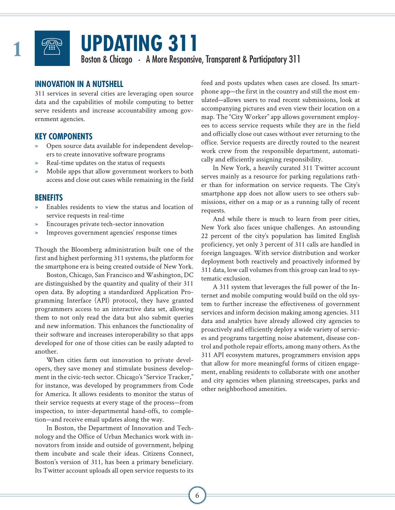

### **Updating 311**

Boston & Chicago • A More Responsive, Transparent & Participatory 311 **1**

### **INNOVATION IN A NUTSHELL**

311 services in several cities are leveraging open source data and the capabilities of mobile computing to better serve residents and increase accountability among government agencies.

### **KEY COMPONENTS**

- » Open source data available for independent developers to create innovative software programs
- » Real-time updates on the status of requests
- » Mobile apps that allow government workers to both access and close out cases while remaining in the field

### **BENEFITS**

- » Enables residents to view the status and location of service requests in real-time
- » Encourages private tech-sector innovation
- Improves government agencies' response times

Though the Bloomberg administration built one of the first and highest performing 311 systems, the platform for the smartphone era is being created outside of New York.

Boston, Chicago, San Francisco and Washington, DC are distinguished by the quantity and quality of their 311 open data. By adopting a standardized Application Programming Interface (API) protocol, they have granted programmers access to an interactive data set, allowing them to not only read the data but also submit queries and new information. This enhances the functionality of their software and increases interoperability so that apps developed for one of those cities can be easily adapted to another.

When cities farm out innovation to private developers, they save money and stimulate business development in the civic-tech sector. Chicago's "Service Tracker," for instance, was developed by programmers from Code for America. It allows residents to monitor the status of their service requests at every stage of the process—from inspection, to inter-departmental hand-offs, to completion—and receive email updates along the way.

In Boston, the Department of Innovation and Technology and the Office of Urban Mechanics work with innovators from inside and outside of government, helping them incubate and scale their ideas. Citizens Connect, Boston's version of 311, has been a primary beneficiary. Its Twitter account uploads all open service requests to its

feed and posts updates when cases are closed. Its smartphone app—the first in the country and still the most emulated—allows users to read recent submissions, look at accompanying pictures and even view their location on a map. The "City Worker" app allows government employees to access service requests while they are in the field and officially close out cases without ever returning to the office. Service requests are directly routed to the nearest work crew from the responsible department, automatically and efficiently assigning responsibility.

In New York, a heavily curated 311 Twitter account serves mainly as a resource for parking regulations rather than for information on service requests. The City's smartphone app does not allow users to see others submissions, either on a map or as a running tally of recent requests.

And while there is much to learn from peer cities, New York also faces unique challenges. An astounding 22 percent of the city's population has limited English proficiency, yet only 3 percent of 311 calls are handled in foreign languages. With service distribution and worker deployment both reactively and proactively informed by 311 data, low call volumes from this group can lead to systematic exclusion.

A 311 system that leverages the full power of the Internet and mobile computing would build on the old system to further increase the effectiveness of government services and inform decision making among agencies. 311 data and analytics have already allowed city agencies to proactively and efficiently deploy a wide variety of services and programs targetting noise abatement, disease control and pothole repair efforts, among many others. As the 311 API ecosystem matures, programmers envision apps that allow for more meaningful forms of citizen engagement, enabling residents to collaborate with one another and city agencies when planning streetscapes, parks and other neighborhood amenities.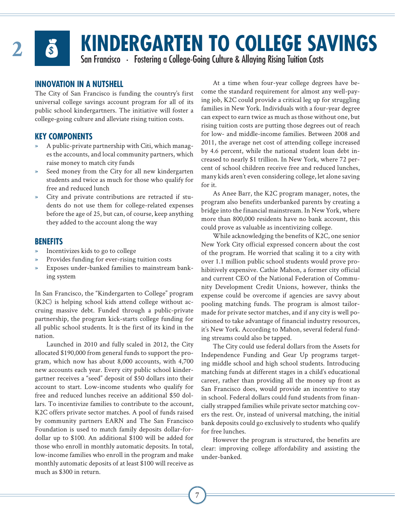

# **Example RGARTEN TO COLLEGE SAVINGS**<br>
San Francisco • Fostering a College-Going Culture & Allaying Rising Tuition Costs

### **INNOVATION IN A NUTSHELL**

The City of San Francisco is funding the country's first universal college savings account program for all of its public school kindergartners. The initiative will foster a college-going culture and alleviate rising tuition costs.

### **KEY COMPONENTS**

- » A public-private partnership with Citi, which manages the accounts, and local community partners, which raise money to match city funds
- Seed money from the City for all new kindergarten students and twice as much for those who qualify for free and reduced lunch
- City and private contributions are retracted if students do not use them for college-related expenses before the age of 25, but can, of course, keep anything they added to the account along the way

### **BENEFITS**

- » Incentivizes kids to go to college
- Provides funding for ever-rising tuition costs
- » Exposes under-banked families to mainstream banking system

In San Francisco, the "Kindergarten to College" program (K2C) is helping school kids attend college without accruing massive debt. Funded through a public-private partnership, the program kick-starts college funding for all public school students. It is the first of its kind in the nation.

Launched in 2010 and fully scaled in 2012, the City allocated \$190,000 from general funds to support the program, which now has about 8,000 accounts, with 4,700 new accounts each year. Every city public school kindergartner receives a "seed" deposit of \$50 dollars into their account to start. Low-income students who qualify for free and reduced lunches receive an additional \$50 dollars. To incentivize families to contribute to the account, K2C offers private sector matches. A pool of funds raised by community partners EARN and The San Francisco Foundation is used to match family deposits dollar-fordollar up to \$100. An additional \$100 will be added for those who enroll in monthly automatic deposits. In total, low-income families who enroll in the program and make monthly automatic deposits of at least \$100 will receive as much as \$300 in return.

At a time when four-year college degrees have become the standard requirement for almost any well-paying job, K2C could provide a critical leg up for struggling families in New York. Individuals with a four-year degree can expect to earn twice as much as those without one, but rising tuition costs are putting those degrees out of reach for low- and middle-income families. Between 2008 and 2011, the average net cost of attending college increased by 4.6 percent, while the national student loan debt increased to nearly \$1 trillion. In New York, where 72 percent of school children receive free and reduced lunches, many kids aren't even considering college, let alone saving for it.

As Anee Barr, the K2C program manager, notes, the program also benefits underbanked parents by creating a bridge into the financial mainstream. In New York, where more than 800,000 residents have no bank account, this could prove as valuable as incentivizing college.

While acknowledging the benefits of K2C, one senior New York City official expressed concern about the cost of the program. He worried that scaling it to a city with over 1.1 million public school students would prove prohibitively expensive. Cathie Mahon, a former city official and current CEO of the National Federation of Community Development Credit Unions, however, thinks the expense could be overcome if agencies are savvy about pooling matching funds. The program is almost tailormade for private sector matches, and if any city is well positioned to take advantage of financial industry resources, it's New York. According to Mahon, several federal funding streams could also be tapped.

The City could use federal dollars from the Assets for Independence Funding and Gear Up programs targeting middle school and high school students. Introducing matching funds at different stages in a child's educational career, rather than providing all the money up front as San Francisco does, would provide an incentive to stay in school. Federal dollars could fund students from financially strapped families while private sector matching covers the rest. Or, instead of universal matching, the initial bank deposits could go exclusively to students who qualify for free lunches.

However the program is structured, the benefits are clear: improving college affordability and assisting the under-banked.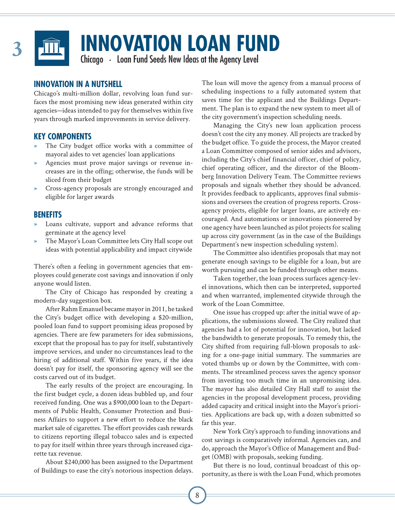

**INNOVATION LOAN FUND**<br>Chicago • Loan Fund Seeds New Ideas at the Agency Level

### **INNOVATION IN A NUTSHELL**

Chicago's multi-million dollar, revolving loan fund surfaces the most promising new ideas generated within city agencies—ideas intended to pay for themselves within five years through marked improvements in service delivery.

### **KEY COMPONENTS**

- » The City budget office works with a committee of mayoral aides to vet agencies' loan applications
- Agencies must prove major savings or revenue increases are in the offing; otherwise, the funds will be sliced from their budget
- » Cross-agency proposals are strongly encouraged and eligible for larger awards

### **BENEFITS**

- Loans cultivate, support and advance reforms that germinate at the agency level
- » The Mayor's Loan Committee lets City Hall scope out ideas with potential applicability and impact citywide

There's often a feeling in government agencies that employees could generate cost savings and innovation if only anyone would listen.

The City of Chicago has responded by creating a modern-day suggestion box.

After Rahm Emanuel became mayor in 2011, he tasked the City's budget office with developing a \$20-million, pooled loan fund to support promising ideas proposed by agencies. There are few parameters for idea submissions, except that the proposal has to pay for itself, substantively improve services, and under no circumstances lead to the hiring of additional staff. Within five years, if the idea doesn't pay for itself, the sponsoring agency will see the costs carved out of its budget.

The early results of the project are encouraging. In the first budget cycle, a dozen ideas bubbled up, and four received funding. One was a \$900,000 loan to the Departments of Public Health, Consumer Protection and Business Affairs to support a new effort to reduce the black market sale of cigarettes. The effort provides cash rewards to citizens reporting illegal tobacco sales and is expected to pay for itself within three years through increased cigarette tax revenue.

About \$240,000 has been assigned to the Department of Buildings to ease the city's notorious inspection delays. The loan will move the agency from a manual process of scheduling inspections to a fully automated system that saves time for the applicant and the Buildings Department. The plan is to expand the new system to meet all of the city government's inspection scheduling needs.

Managing the City's new loan application process doesn't cost the city any money. All projects are tracked by the budget office. To guide the process, the Mayor created a Loan Committee composed of senior aides and advisors, including the City's chief financial officer, chief of policy, chief operating officer, and the director of the Bloomberg Innovation Delivery Team. The Committee reviews proposals and signals whether they should be advanced. It provides feedback to applicants, approves final submissions and oversees the creation of progress reports. Crossagency projects, eligible for larger loans, are actively encouraged. And automations or innovations pioneered by one agency have been launched as pilot projects for scaling up across city government (as in the case of the Buildings Department's new inspection scheduling system).

The Committee also identifies proposals that may not generate enough savings to be eligible for a loan, but are worth pursuing and can be funded through other means.

Taken together, the loan process surfaces agency-level innovations, which then can be interpreted, supported and when warranted, implemented citywide through the work of the Loan Committee.

One issue has cropped up: after the initial wave of applications, the submissions slowed. The City realized that agencies had a lot of potential for innovation, but lacked the bandwidth to generate proposals. To remedy this, the City shifted from requiring full-blown proposals to asking for a one-page initial summary. The summaries are voted thumbs up or down by the Committee, with comments. The streamlined process saves the agency sponsor from investing too much time in an unpromising idea. The mayor has also detailed City Hall staff to assist the agencies in the proposal development process, providing added capacity and critical insight into the Mayor's priorities. Applications are back up, with a dozen submitted so far this year.

New York City's approach to funding innovations and cost savings is comparatively informal. Agencies can, and do, approach the Mayor's Office of Management and Budget (OMB) with proposals, seeking funding.

But there is no loud, continual broadcast of this opportunity, as there is with the Loan Fund, which promotes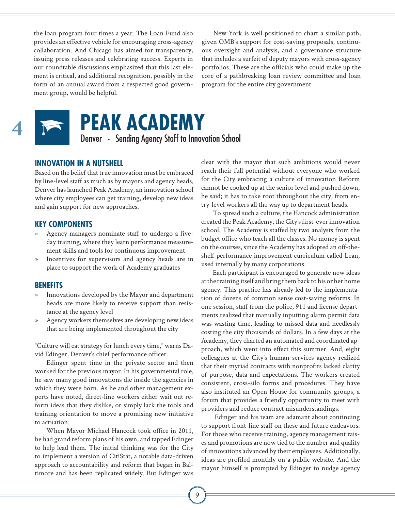the loan program four times a year. The Loan Fund also provides an effective vehicle for encouraging cross-agency collaboration. And Chicago has aimed for transparency, issuing press releases and celebrating success. Experts in our roundtable discussions emphasized that this last element is critical, and additional recognition, possibly in the form of an annual award from a respected good government group, would be helpful.

New York is well positioned to chart a similar path, given OMB's support for cost-saving proposals, continuous oversight and analysis, and a governance structure that includes a surfeit of deputy mayors with cross-agency portfolios. These are the officials who could make up the core of a pathbreaking loan review committee and loan program for the entire city government.



# **PEAK ACADEMY**<br>
Denver • Sending Agency Staff to Innovation School

**INNOVATION IN A NUTSHELL**

Based on the belief that true innovation must be embraced by line-level staff as much as by mayors and agency heads, Denver has launched Peak Academy, an innovation school where city employees can get training, develop new ideas and gain support for new approaches.

### **KEY COMPONENTS**

- » Agency managers nominate staff to undergo a fiveday training, where they learn performance measurement skills and tools for continuous improvement
- » Incentives for supervisors and agency heads are in place to support the work of Academy graduates

#### **BENEFITS**

- Innovations developed by the Mayor and department heads are more likely to receive support than resistance at the agency level
- » Agency workers themselves are developing new ideas that are being implemented throughout the city

"Culture will eat strategy for lunch every time," warns David Edinger, Denver's chief performance officer.

Edinger spent time in the private sector and then worked for the previous mayor. In his governmental role, he saw many good innovations die inside the agencies in which they were born. As he and other management experts have noted, direct-line workers either wait out reform ideas that they dislike, or simply lack the tools and training orientation to move a promising new initiative to actuation.

When Mayor Michael Hancock took office in 2011, he had grand reform plans of his own, and tapped Edinger to help lead them. The initial thinking was for the City to implement a version of CitiStat, a notable data-driven approach to accountability and reform that began in Baltimore and has been replicated widely. But Edinger was

clear with the mayor that such ambitions would never reach their full potential without everyone who worked for the City embracing a culture of innovation Reform cannot be cooked up at the senior level and pushed down, he said; it has to take root throughout the city, from entry-level workers all the way up to department heads.

To spread such a culture, the Hancock administration created the Peak Academy, the City's first-ever innovation school. The Academy is staffed by two analysts from the budget office who teach all the classes. No money is spent on the courses, since the Academy has adopted an off-theshelf performance improvement curriculum called Lean, used internally by many corporations.

Each participant is encouraged to generate new ideas at the training itself and bring them back to his or her home agency. This practice has already led to the implementation of dozens of common sense cost-saving reforms. In one session, staff from the police, 911 and license departments realized that manually inputting alarm permit data was wasting time, leading to missed data and needlessly costing the city thousands of dollars. In a few days at the Academy, they charted an automated and coordinated approach, which went into effect this summer. And, eight colleagues at the City's human services agency realized that their myriad contracts with nonprofits lacked clarity of purpose, data and expectations. The workers created consistent, cross-silo forms and procedures. They have also instituted an Open House for community groups, a forum that provides a friendly opportunity to meet with providers and reduce contract misunderstandings.

 Edinger and his team are adamant about continuing to support front-line staff on these and future endeavors. For those who receive training, agency management raises and promotions are now tied to the number and quality of innovations advanced by their employees. Additionally, ideas are profiled monthly on a public website. And the mayor himself is prompted by Edinger to nudge agency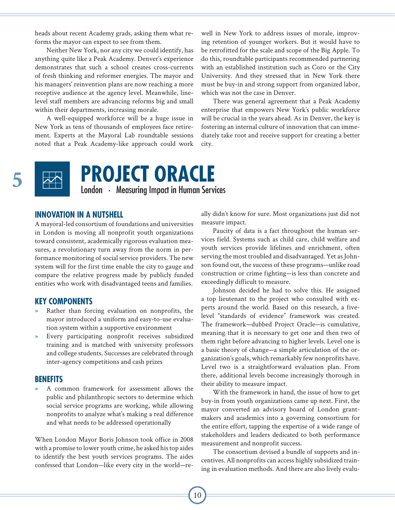heads about recent Academy grads, asking them what reforms the mayor can expect to see from them.

Neither New York, nor any city we could identify, has anything quite like a Peak Academy. Denver's experience demonstrates that such a school creates cross-currents of fresh thinking and reformer energies. The mayor and his managers' reinvention plans are now reaching a more receptive audience at the agency level. Meanwhile, linelevel staff members are advancing reforms big and small within their departments, increasing morale.

A well-equipped workforce will be a huge issue in New York as tens of thousands of employees face retirement. Experts at the Mayoral Lab roundtable sessions noted that a Peak Academy-like approach could work well in New York to address issues of morale, improving retention of younger workers. But it would have to be retrofitted for the scale and scope of the Big Apple. To do this, roundtable participants recommended partnering with an established institution such as Coro or the City University. And they stressed that in New York there must be buy-in and strong support from organized labor, which was not the case in Denver.

There was general agreement that a Peak Academy enterprise that empowers New York's public workforce will be crucial in the years ahead. As in Denver, the key is fostering an internal culture of innovation that can immediately take root and receive support for creating a better city.



# **FROJECT ORACLE**<br>
London • Measuring Impact in Human Services

### **INNOVATION IN A NUTSHELL**

A mayoral-led consortium of foundations and universities in London is moving all nonprofit youth organizations toward consistent, academically rigorous evaluation measures, a revolutionary turn away from the norm in performance monitoring of social service providers. The new system will for the first time enable the city to gauge and compare the relative progress made by publicly funded entities who work with disadvantaged teens and families.

### **KEY COMPONENTS**

- Rather than forcing evaluation on nonprofits, the mayor introduced a uniform and easy-to-use evaluation system within a supportive environment
- Every participating nonprofit receives subsidized training and is matched with university professors and college students. Successes are celebrated through inter-agency competitions and cash prizes

### **BENEFITS**

» A common framework for assessment allows the public and philanthropic sectors to determine which social service programs are working, while allowing nonprofits to analyze what's making a real difference and what needs to be addressed operationally

When London Mayor Boris Johnson took office in 2008 with a promise to lower youth crime, he asked his top aides to identify the best youth services programs. The aides confessed that London—like every city in the world—really didn't know for sure. Most organizations just did not measure impact.

Paucity of data is a fact throughout the human services field. Systems such as child care, child welfare and youth services provide lifelines and enrichment, often serving the most troubled and disadvantaged. Yet as Johnson found out, the success of these programs—unlike road construction or crime fighting—is less than concrete and exceedingly difficult to measure.

Johnson decided he had to solve this. He assigned a top lieutenant to the project who consulted with experts around the world. Based on this research, a fivelevel "standards of evidence" framework was created. The framework—dubbed Project Oracle—is cumulative, meaning that it is necessary to get one and then two of them right before advancing to higher levels. Level one is a basic theory of change—a simple articulation of the organization's goals, which remarkably few nonprofits have. Level two is a straightforward evaluation plan. From there, additional levels become increasingly thorough in their ability to measure impact.

With the framework in hand, the issue of how to get buy-in from youth organizations came up next. First, the mayor converted an advisory board of London grantmakers and academics into a governing consortium for the entire effort, tapping the expertise of a wide range of stakeholders and leaders dedicated to both performance measurement and nonprofit success.

The consortium devised a bundle of supports and incentives. All nonprofits can access highly subsidized training in evaluation methods. And there are also lively evalu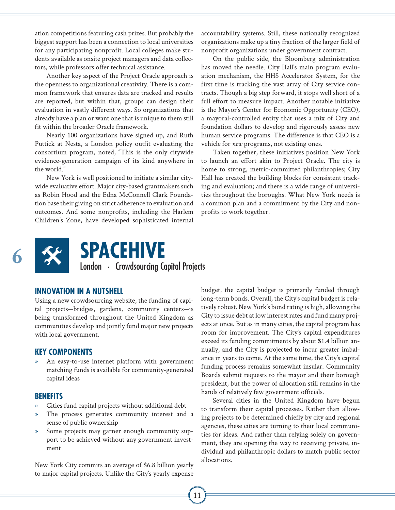ation competitions featuring cash prizes. But probably the biggest support has been a connection to local universities for any participating nonprofit. Local colleges make students available as onsite project managers and data collectors, while professors offer technical assistance.

Another key aspect of the Project Oracle approach is the openness to organizational creativity. There is a common framework that ensures data are tracked and results are reported, but within that, groups can design their evaluation in vastly different ways. So organizations that already have a plan or want one that is unique to them still fit within the broader Oracle framework.

Nearly 100 organizations have signed up, and Ruth Puttick at Nesta, a London policy outfit evaluating the consortium program, noted, "This is the only citywide evidence-generation campaign of its kind anywhere in the world."

New York is well positioned to initiate a similar citywide evaluative effort. Major city-based grantmakers such as Robin Hood and the Edna McConnell Clark Foundation base their giving on strict adherence to evaluation and outcomes. And some nonprofits, including the Harlem Children's Zone, have developed sophisticated internal accountability systems. Still, these nationally recognized organizations make up a tiny fraction of the larger field of nonprofit organizations under government contract.

On the public side, the Bloomberg administration has moved the needle. City Hall's main program evaluation mechanism, the HHS Accelerator System, for the first time is tracking the vast array of City service contracts. Though a big step forward, it stops well short of a full effort to measure impact. Another notable initiative is the Mayor's Center for Economic Opportunity (CEO), a mayoral-controlled entity that uses a mix of City and foundation dollars to develop and rigorously assess new human service programs. The difference is that CEO is a vehicle for *new* programs, not existing ones.

Taken together, these initiatives position New York to launch an effort akin to Project Oracle. The city is home to strong, metric-committed philanthropies; City Hall has created the building blocks for consistent tracking and evaluation; and there is a wide range of universities throughout the boroughs. What New York needs is a common plan and a commitment by the City and nonprofits to work together.



### **SPACEHIVE**<br>
London • Crowdsourcing Capital Projects

### **INNOVATION IN A NUTSHELL**

Using a new crowdsourcing website, the funding of capital projects—bridges, gardens, community centers—is being transformed throughout the United Kingdom as communities develop and jointly fund major new projects with local government.

### **KEY COMPONENTS**

An easy-to-use internet platform with government matching funds is available for community-generated capital ideas

#### **BENEFITS**

- » Cities fund capital projects without additional debt
- The process generates community interest and a sense of public ownership
- » Some projects may garner enough community support to be achieved without any government investment

New York City commits an average of \$6.8 billion yearly to major capital projects. Unlike the City's yearly expense

budget, the capital budget is primarily funded through long-term bonds. Overall, the City's capital budget is relatively robust. New York's bond rating is high, allowing the City to issue debt at low interest rates and fund many projects at once. But as in many cities, the capital program has room for improvement. The City's capital expenditures exceed its funding commitments by about \$1.4 billion annually, and the City is projected to incur greater imbalance in years to come. At the same time, the City's capital funding process remains somewhat insular. Community Boards submit requests to the mayor and their borough president, but the power of allocation still remains in the hands of relatively few government officials.

Several cities in the United Kingdom have begun to transform their capital processes. Rather than allowing projects to be determined chiefly by city and regional agencies, these cities are turning to their local communities for ideas. And rather than relying solely on government, they are opening the way to receiving private, individual and philanthropic dollars to match public sector allocations.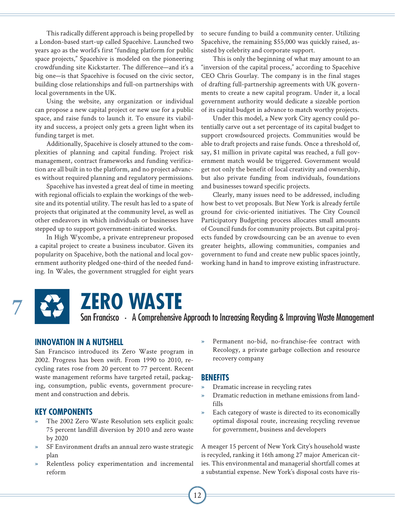This radically different approach is being propelled by a London-based start-up called Spacehive. Launched two years ago as the world's first "funding platform for public space projects," Spacehive is modeled on the pioneering crowdfunding site Kickstarter. The difference—and it's a big one—is that Spacehive is focused on the civic sector, building close relationships and full-on partnerships with local governments in the UK.

Using the website, any organization or individual can propose a new capital project or new use for a public space, and raise funds to launch it. To ensure its viability and success, a project only gets a green light when its funding target is met.

Additionally, Spacehive is closely attuned to the complexities of planning and capital funding. Project risk management, contract frameworks and funding verification are all built in to the platform, and no project advances without required planning and regulatory permissions.

Spacehive has invested a great deal of time in meeting with regional officials to explain the workings of the website and its potential utility. The result has led to a spate of projects that originated at the community level, as well as other endeavors in which individuals or businesses have stepped up to support government-initiated works.

In High Wycombe, a private entrepreneur proposed a capital project to create a business incubator. Given its popularity on Spacehive, both the national and local government authority pledged one-third of the needed funding. In Wales, the government struggled for eight years

to secure funding to build a community center. Utilizing Spacehive, the remaining \$55,000 was quickly raised, assisted by celebrity and corporate support.

This is only the beginning of what may amount to an "inversion of the capital process," according to Spacehive CEO Chris Gourlay. The company is in the final stages of drafting full-partnership agreements with UK governments to create a new capital program. Under it, a local government authority would dedicate a sizeable portion of its capital budget in advance to match worthy projects.

Under this model, a New york City agency could potentially carve out a set percentage of its capital budget to support crowdsourced projects. Communities would be able to draft projects and raise funds. Once a threshold of, say, \$1 million in private capital was reached, a full government match would be triggered. Government would get not only the benefit of local creativity and ownership, but also private funding from individuals, foundations and businesses toward specific projects.

Clearly, many issues need to be addressed, including how best to vet proposals. But New York is already fertile ground for civic-oriented initiatives. The City Council Participatory Budgeting process allocates small amounts of Council funds for community projects. But capital projects funded by crowdsourcing can be an avenue to even greater heights, allowing communities, companies and government to fund and create new public spaces jointly, working hand in hand to improve existing infrastructure.



### **Zero Waste**

San Francisco • A Comprehensive Approach to Increasing Recycling & Improving Waste Management **7**

### **INNOVATION IN A NUTSHELL**

San Francisco introduced its Zero Waste program in 2002. Progress has been swift. From 1990 to 2010, recycling rates rose from 20 percent to 77 percent. Recent waste management reforms have targeted retail, packaging, consumption, public events, government procurement and construction and debris.

### **KEY COMPONENTS**

- » The 2002 Zero Waste Resolution sets explicit goals: 75 percent landfill diversion by 2010 and zero waste by 2020
- SF Environment drafts an annual zero waste strategic plan
- Relentless policy experimentation and incremental reform

Permanent no-bid, no-franchise-fee contract with Recology, a private garbage collection and resource recovery company

### **BENEFITS**

- » Dramatic increase in recycling rates
- » Dramatic reduction in methane emissions from landfills
- » Each category of waste is directed to its economically optimal disposal route, increasing recycling revenue for government, business and developers

A meager 15 percent of New York City's household waste is recycled, ranking it 16th among 27 major American cities. This environmental and managerial shortfall comes at a substantial expense. New York's disposal costs have ris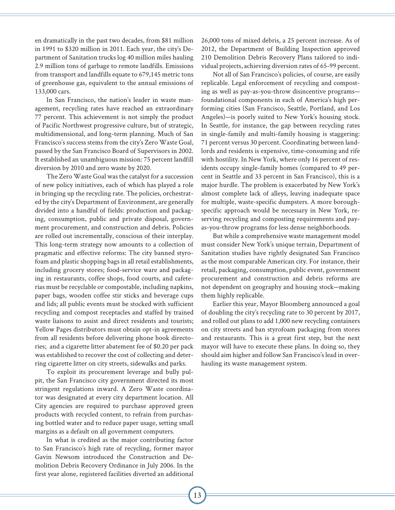en dramatically in the past two decades, from \$81 million in 1991 to \$320 million in 2011. Each year, the city's Department of Sanitation trucks log 40 million miles hauling 2.9 million tons of garbage to remote landfills. Emissions from transport and landfills equate to 679,145 metric tons of greenhouse gas, equivalent to the annual emissions of 133,000 cars.

In San Francisco, the nation's leader in waste management, recycling rates have reached an extraordinary 77 percent. This achievement is not simply the product of Pacific Northwest progressive culture, but of strategic, multidimensional, and long-term planning. Much of San Francisco's success stems from the city's Zero Waste Goal, passed by the San Francisco Board of Supervisors in 2002. It established an unambiguous mission: 75 percent landfill diversion by 2010 and zero waste by 2020.

The Zero Waste Goal was the catalyst for a succession of new policy initiatives, each of which has played a role in bringing up the recycling rate. The policies, orchestrated by the city's Department of Environment, are generally divided into a handful of fields: production and packaging, consumption, public and private disposal, government procurement, and construction and debris. Policies are rolled out incrementally, conscious of their interplay. This long-term strategy now amounts to a collection of pragmatic and effective reforms: The city banned styrofoam and plastic shopping bags in all retail establishments, including grocery stores; food-service ware and packaging in restaurants, coffee shops, food courts, and cafeterias must be recyclable or compostable, including napkins, paper bags, wooden coffee stir sticks and beverage cups and lids; all public events must be stocked with sufficient recycling and compost receptacles and staffed by trained waste liaisons to assist and direct residents and tourists; Yellow Pages distributors must obtain opt-in agreements from all residents before delivering phone book directories; and a cigarette litter abatement fee of \$0.20 per pack was established to recover the cost of collecting and deterring cigarette litter on city streets, sidewalks and parks.

To exploit its procurement leverage and bully pulpit, the San Francisco city government directed its most stringent regulations inward. A Zero Waste coordinator was designated at every city department location. All City agencies are required to purchase approved green products with recycled content, to refrain from purchasing bottled water and to reduce paper usage, setting small margins as a default on all government computers.

In what is credited as the major contributing factor to San Francisco's high rate of recycling, former mayor Gavin Newsom introduced the Construction and Demolition Debris Recovery Ordinance in July 2006. In the first year alone, registered facilities diverted an additional

26,000 tons of mixed debris, a 25 percent increase. As of 2012, the Department of Building Inspection approved 210 Demolition Debris Recovery Plans tailored to individual projects, achieving diversion rates of 65-99 percent.

Not all of San Francisco's policies, of course, are easily replicable. Legal enforcement of recycling and composting as well as pay-as-you-throw disincentive programs foundational components in each of America's high performing cities (San Francisco, Seattle, Portland, and Los Angeles)—is poorly suited to New York's housing stock. In Seattle, for instance, the gap between recycling rates in single-family and multi-family housing is staggering: 71 percent versus 30 percent. Coordinating between landlords and residents is expensive, time-consuming and rife with hostility. In New York, where only 16 percent of residents occupy single-family homes (compared to 49 percent in Seattle and 33 percent in San Francisco), this is a major hurdle. The problem is exacerbated by New York's almost complete lack of alleys, leaving inadequate space for multiple, waste-specific dumpsters. A more boroughspecific approach would be necessary in New York, reserving recycling and composting requirements and payas-you-throw programs for less dense neighborhoods.

But while a comprehensive waste management model must consider New York's unique terrain, Department of Sanitation studies have rightly designated San Francisco as the most comparable American city. For instance, their retail, packaging, consumption, public event, government procurement and construction and debris reforms are not dependent on geography and housing stock—making them highly replicable.

Earlier this year, Mayor Bloomberg announced a goal of doubling the city's recycling rate to 30 percent by 2017, and rolled out plans to add 1,000 new recycling containers on city streets and ban styrofoam packaging from stores and restaurants. This is a great first step, but the next mayor will have to execute these plans. In doing so, they should aim higher and follow San Francisco's lead in overhauling its waste management system.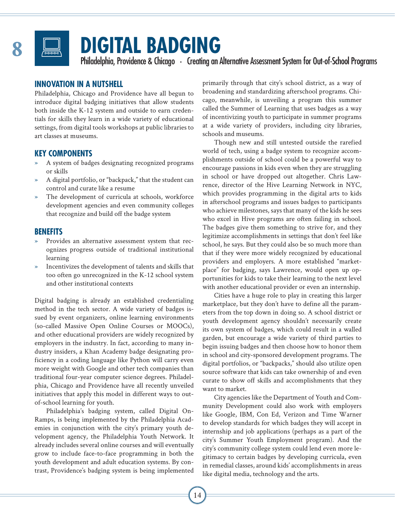

### **Digital Badging**

Philadelphia, Providence & Chicago · Creating an Alternative Assessment System for Out-of-School Programs

### **INNOVATION IN A NUTSHELL**

Philadelphia, Chicago and Providence have all begun to introduce digital badging initiatives that allow students both inside the K-12 system and outside to earn credentials for skills they learn in a wide variety of educational settings, from digital tools workshops at public libraries to art classes at museums.

### **KEY COMPONENTS**

- » A system of badges designating recognized programs or skills
- » A digital portfolio, or "backpack," that the student can control and curate like a resume
- The development of curricula at schools, workforce development agencies and even community colleges that recognize and build off the badge system

### **BENEFITS**

- Provides an alternative assessment system that recognizes progress outside of traditional institutional learning
- » Incentivizes the development of talents and skills that too often go unrecognized in the K-12 school system and other institutional contexts

Digital badging is already an established credentialing method in the tech sector. A wide variety of badges issued by event organizers, online learning environments (so-called Massive Open Online Courses or MOOCs), and other educational providers are widely recognized by employers in the industry. In fact, according to many industry insiders, a Khan Academy badge designating proficiency in a coding language like Python will carry even more weight with Google and other tech companies than traditional four-year computer science degrees. Philadelphia, Chicago and Providence have all recently unveiled initiatives that apply this model in different ways to outof-school learning for youth.

Philadelphia's badging system, called Digital On-Ramps, is being implemented by the Philadelphia Academies in conjunction with the city's primary youth development agency, the Philadelphia Youth Network. It already includes several online courses and will eventually grow to include face-to-face programming in both the youth development and adult education systems. By contrast, Providence's badging system is being implemented primarily through that city's school district, as a way of broadening and standardizing afterschool programs. Chicago, meanwhile, is unveiling a program this summer called the Summer of Learning that uses badges as a way of incentivizing youth to participate in summer programs at a wide variety of providers, including city libraries, schools and museums.

Though new and still untested outside the rarefied world of tech, using a badge system to recognize accomplishments outside of school could be a powerful way to encourage passions in kids even when they are struggling in school or have dropped out altogether. Chris Lawrence, director of the Hive Learning Network in NYC, which provides programming in the digital arts to kids in afterschool programs and issues badges to participants who achieve milestones, says that many of the kids he sees who excel in Hive programs are often failing in school. The badges give them something to strive for, and they legitimize accomplishments in settings that don't feel like school, he says. But they could also be so much more than that if they were more widely recognized by educational providers and employers. A more established "marketplace" for badging, says Lawrence, would open up opportunities for kids to take their learning to the next level with another educational provider or even an internship.

Cities have a huge role to play in creating this larger marketplace, but they don't have to define all the parameters from the top down in doing so. A school district or youth development agency shouldn't necessarily create its own system of badges, which could result in a walled garden, but encourage a wide variety of third parties to begin issuing badges and then choose how to honor them in school and city-sponsored development programs. The digital portfolios, or "backpacks," should also utilize open source software that kids can take ownership of and even curate to show off skills and accomplishments that they want to market.

City agencies like the Department of Youth and Community Development could also work with employers like Google, IBM, Con Ed, Verizon and Time Warner to develop standards for which badges they will accept in internship and job applications (perhaps as a part of the city's Summer Youth Employment program). And the city's community college system could lend even more legitimacy to certain badges by developing curricula, even in remedial classes, around kids' accomplishments in areas like digital media, technology and the arts.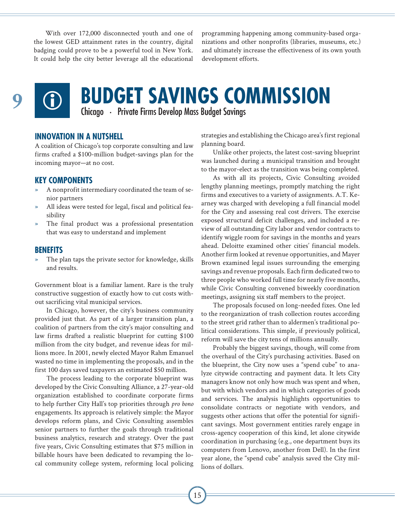With over 172,000 disconnected youth and one of the lowest GED attainment rates in the country, digital badging could prove to be a powerful tool in New York. It could help the city better leverage all the educational programming happening among community-based organizations and other nonprofits (libraries, museums, etc.) and ultimately increase the effectiveness of its own youth development efforts.



# **9 CD BUDGET SAVINGS COMMISSION**<br>Chicago • Private Firms Develop Mass Budget Savings

#### **INNOVATION IN A NUTSHELL**

A coalition of Chicago's top corporate consulting and law firms crafted a \$100-million budget-savings plan for the incoming mayor—at no cost.

### **KEY COMPONENTS**

- » A nonprofit intermediary coordinated the team of senior partners
- All ideas were tested for legal, fiscal and political feasibility
- The final product was a professional presentation that was easy to understand and implement

#### **BENEFITS**

The plan taps the private sector for knowledge, skills and results.

Government bloat is a familiar lament. Rare is the truly constructive suggestion of exactly how to cut costs without sacrificing vital municipal services.

In Chicago, however, the city's business community provided just that. As part of a larger transition plan, a coalition of partners from the city's major consulting and law firms drafted a realistic blueprint for cutting \$100 million from the city budget, and revenue ideas for millions more. In 2001, newly elected Mayor Rahm Emanuel wasted no time in implementing the proposals, and in the first 100 days saved taxpayers an estimated \$50 million.

The process leading to the corporate blueprint was developed by the Civic Consulting Alliance, a 27-year-old organization established to coordinate corporate firms to help further City Hall's top priorities through *pro bono*  engagements. Its approach is relatively simple: the Mayor develops reform plans, and Civic Consulting assembles senior partners to further the goals through traditional business analytics, research and strategy. Over the past five years, Civic Consulting estimates that \$75 million in billable hours have been dedicated to revamping the local community college system, reforming local policing

strategies and establishing the Chicago area's first regional planning board.

Unlike other projects, the latest cost-saving blueprint was launched during a municipal transition and brought to the mayor-elect as the transition was being completed.

As with all its projects, Civic Consulting avoided lengthy planning meetings, promptly matching the right firms and executives to a variety of assignments. A.T. Kearney was charged with developing a full financial model for the City and assessing real cost drivers. The exercise exposed structural deficit challenges, and included a review of all outstanding City labor and vendor contracts to identify wiggle room for savings in the months and years ahead. Deloitte examined other cities' financial models. Another firm looked at revenue opportunities, and Mayer Brown examined legal issues surrounding the emerging savings and revenue proposals. Each firm dedicated two to three people who worked full time for nearly five months, while Civic Consulting convened biweekly coordination meetings, assigning six staff members to the project.

The proposals focused on long-needed fixes. One led to the reorganization of trash collection routes according to the street grid rather than to aldermen's traditional political considerations. This simple, if previously political, reform will save the city tens of millions annually.

Probably the biggest savings, though, will come from the overhaul of the City's purchasing activities. Based on the blueprint, the City now uses a "spend cube" to analyze citywide contracting and payment data. It lets City managers know not only how much was spent and when, but with which vendors and in which categories of goods and services. The analysis highlights opportunities to consolidate contracts or negotiate with vendors, and suggests other actions that offer the potential for significant savings. Most government entities rarely engage in cross-agency cooperation of this kind, let alone citywide coordination in purchasing (e.g., one department buys its computers from Lenovo, another from Dell). In the first year alone, the "spend cube" analysis saved the City millions of dollars.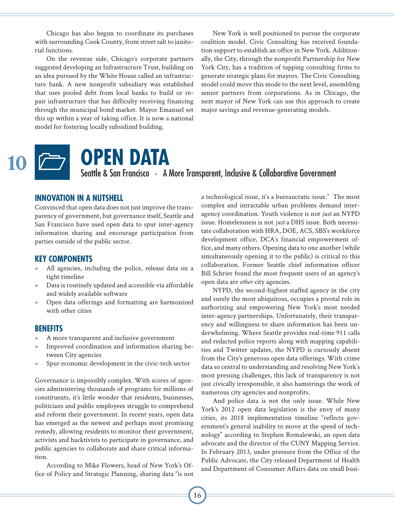Chicago has also begun to coordinate its purchases with surrounding Cook County, from street salt to janitorial functions.

On the revenue side, Chicago's corporate partners suggested developing an Infrastructure Trust, building on an idea pursued by the White House called an infrastructure bank. A new nonprofit subsidiary was established that uses pooled debt from local banks to build or repair infrastructure that has difficulty receiving financing through the municipal bond market. Mayor Emanuel set this up within a year of taking office. It is now a national model for fostering locally subsidized building.

New York is well positioned to pursue the corporate coalition model. Civic Consulting has received foundation support to establish an office in New York. Additionally, the City, through the nonprofit Partnership for New York City, has a tradition of tapping consulting firms to generate strategic plans for mayors. The Civic Consulting model could move this mode to the next level, assembling senior partners from corporations. As in Chicago, the next mayor of New York can use this approach to create major savings and revenue-generating models.



### **Open Data** Seattle & San Francisco · A More Transparent, Inclusive & Collaborative Government

### **INNOVATION IN A NUTSHELL**

Convinced that open data does not just improve the transparency of government, but governance itself, Seattle and San Francisco have used open data to spur inter-agency information sharing and encourage participation from parties outside of the public sector.

### **KEY COMPONENTS**

- All agencies, including the police, release data on a tight timeline
- » Data is routinely updated and accessible via affordable and widely available software
- » Open data offerings and formatting are harmonized with other cities

#### **BENEFITS**

- » A more transparent and inclusive government
- » Improved coordination and information sharing between City agencies
- Spur economic development in the civic-tech sector

Governance is impossibly complex. With scores of agencies administering thousands of programs for millions of constituents, it's little wonder that residents, businesses, politicians and public employees struggle to comprehend and reform their government. In recent years, open data has emerged as the newest and perhaps most promising remedy, allowing residents to monitor their government, activists and hacktivists to participate in governance, and public agencies to collaborate and share critical information.

According to Mike Flowers, head of New York's Office of Policy and Strategic Planning, sharing data "is not a technological issue, it's a bureaucratic issue." The most complex and intractable urban problems demand interagency coordination. Youth violence is not *just* an NYPD issue. Homelessness is not *just* a DHS issue. Both necessitate collaboration with HRA, DOE, ACS, SBS's workforce development office, DCA's financial empowerment office, and many others. Opening data to one another (while simultaneously opening it to the public) is critical to this collaboration. Former Seattle chief information officer Bill Schrier found the most frequent users of an agency's open data are *other* city agencies.

NYPD, the second-highest staffed agency in the city and surely the most ubiquitous, occupies a pivotal role in authorizing and empowering New York's most needed inter-agency partnerships. Unfortunately, their transparency and willingness to share information has been underwhelming. Where Seattle provides real-time 911 calls and redacted police reports along with mapping capabilities and Twitter updates, the NYPD is curiously absent from the City's generous open data offerings. With crime data so central to understanding and resolving New York's most pressing challenges, this lack of transparency is not just civically irresponsible, it also hamstrings the work of numerous city agencies and nonprofits.

And police data is not the only issue. While New York's 2012 open data legislation is the envy of many cities, its 2018 implementation timeline "reflects government's general inability to move at the speed of technology" according to Stephen Romalewski, an open data advocate and the director of the CUNY Mapping Service. In February 2013, under pressure from the Office of the Public Advocate, the City released Department of Health and Department of Consumer Affairs data on small busi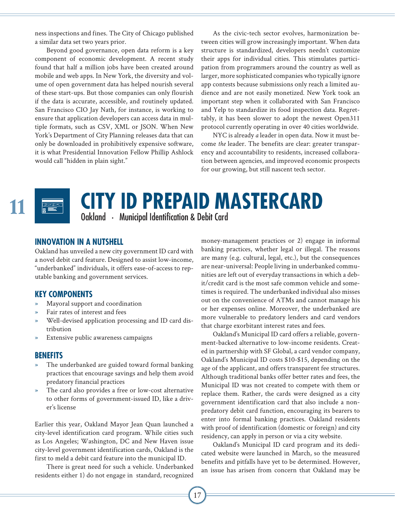ness inspections and fines. The City of Chicago published a similar data set two years prior.

Beyond good governance, open data reform is a key component of economic development. A recent study found that half a million jobs have been created around mobile and web apps. In New York, the diversity and volume of open government data has helped nourish several of these start-ups. But those companies can only flourish if the data is accurate, accessible, and routinely updated. San Francisco CIO Jay Nath, for instance, is working to ensure that application developers can access data in multiple formats, such as CSV, XML or JSON. When New York's Department of City Planning releases data that can only be downloaded in prohibitively expensive software, it is what Presidential Innovation Fellow Phillip Ashlock would call "hidden in plain sight."

As the civic-tech sector evolves, harmonization between cities will grow increasingly important. When data structure is standardized, developers needn't customize their apps for individual cities. This stimulates participation from programmers around the country as well as larger, more sophisticated companies who typically ignore app contests because submissions only reach a limited audience and are not easily monetized. New York took an important step when it collaborated with San Francisco and Yelp to standardize its food inspection data. Regrettably, it has been slower to adopt the newest Open311 protocol currently operating in over 40 cities worldwide.

NYC is already *a* leader in open data. Now it must become *the* leader. The benefits are clear: greater transparency and accountability to residents, increased collaboration between agencies, and improved economic prospects for our growing, but still nascent tech sector.

# **CITY ID PREPAID MASTERCARD**

### **INNOVATION IN A NUTSHELL**

Oakland has unveiled a new city government ID card with a novel debit card feature. Designed to assist low-income, "underbanked" individuals, it offers ease-of-access to reputable banking and government services.

### **KEY COMPONENTS**

- » Mayoral support and coordination
- Fair rates of interest and fees
- » Well-devised application processing and ID card distribution
- Extensive public awareness campaigns

### **BENEFITS**

- The underbanked are guided toward formal banking practices that encourage savings and help them avoid predatory financial practices
- The card also provides a free or low-cost alternative to other forms of government-issued ID, like a driver's license

Earlier this year, Oakland Mayor Jean Quan launched a city-level identification card program. While cities such as Los Angeles; Washington, DC and New Haven issue city-level government identification cards, Oakland is the first to meld a debit card feature into the municipal ID.

There is great need for such a vehicle. Underbanked residents either 1) do not engage in standard, recognized money-management practices or 2) engage in informal banking practices, whether legal or illegal. The reasons are many (e.g. cultural, legal, etc.), but the consequences are near-universal: People living in underbanked communities are left out of everyday transactions in which a debit/credit card is the most safe common vehicle and sometimes is required. The underbanked individual also misses out on the convenience of ATMs and cannot manage his or her expenses online. Moreover, the underbanked are more vulnerable to predatory lenders and card vendors that charge exorbitant interest rates and fees.

Oakland's Municipal ID card offers a reliable, government-backed alternative to low-income residents. Created in partnership with SF Global, a card vendor company, Oakland's Municipal ID costs \$10-\$15, depending on the age of the applicant, and offers transparent fee structures. Although traditional banks offer better rates and fees, the Municipal ID was not created to compete with them or replace them. Rather, the cards were designed as a city government identification card that also include a nonpredatory debit card function, encouraging its bearers to enter into formal banking practices. Oakland residents with proof of identification (domestic or foreign) and city residency, can apply in person or via a city website.

Oakland's Municipal ID card program and its dedicated website were launched in March, so the measured benefits and pitfalls have yet to be determined. However, an issue has arisen from concern that Oakland may be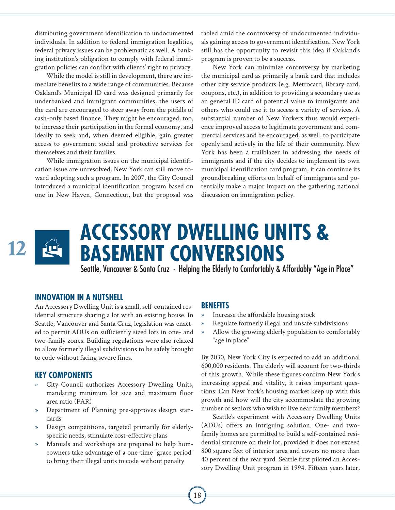distributing government identification to undocumented individuals. In addition to federal immigration legalities, federal privacy issues can be problematic as well. A banking institution's obligation to comply with federal immigration policies can conflict with clients' right to privacy.

While the model is still in development, there are immediate benefits to a wide range of communities. Because Oakland's Municipal ID card was designed primarily for underbanked and immigrant communities, the users of the card are encouraged to steer away from the pitfalls of cash-only based finance. They might be encouraged, too, to increase their participation in the formal economy, and ideally to seek and, when deemed eligible, gain greater access to government social and protective services for themselves and their families.

While immigration issues on the municipal identification issue are unresolved, New York can still move toward adopting such a program. In 2007, the City Council introduced a municipal identification program based on one in New Haven, Connecticut, but the proposal was tabled amid the controversy of undocumented individuals gaining access to government identification. New York still has the opportunity to revisit this idea if Oakland's program is proven to be a success.

New York can minimize controversy by marketing the municipal card as primarily a bank card that includes other city service products (e.g. Metrocard, library card, coupons, etc.), in addition to providing a secondary use as an general ID card of potential value to immigrants and others who could use it to access a variety of services. A substantial number of New Yorkers thus would experience improved access to legitimate government and commercial services and be encouraged, as well, to participate openly and actively in the life of their community. New York has been a trailblazer in addressing the needs of immigrants and if the city decides to implement its own municipal identification card program, it can continue its groundbreaking efforts on behalf of immigrants and potentially make a major impact on the gathering national discussion on immigration policy.



### **INNOVATION IN A NUTSHELL**

An Accessory Dwelling Unit is a small, self-contained residential structure sharing a lot with an existing house. In Seattle, Vancouver and Santa Cruz, legislation was enacted to permit ADUs on sufficiently sized lots in one- and two-family zones. Building regulations were also relaxed to allow formerly illegal subdivisions to be safely brought to code without facing severe fines.

#### **KEY COMPONENTS**

- » City Council authorizes Accessory Dwelling Units, mandating minimum lot size and maximum floor area ratio (FAR)
- » Department of Planning pre-approves design standards
- » Design competitions, targeted primarily for elderlyspecific needs, stimulate cost-effective plans
- » Manuals and workshops are prepared to help homeowners take advantage of a one-time "grace period" to bring their illegal units to code without penalty

#### **BENEFITS**

- » Increase the affordable housing stock
- » Regulate formerly illegal and unsafe subdivisions
- » Allow the growing elderly population to comfortably "age in place"

By 2030, New York City is expected to add an additional 600,000 residents. The elderly will account for two-thirds of this growth. While these figures confirm New York's increasing appeal and vitality, it raises important questions: Can New York's housing market keep up with this growth and how will the city accommodate the growing number of seniors who wish to live near family members?

Seattle's experiment with Accessory Dwelling Units (ADUs) offers an intriguing solution. One- and twofamily homes are permitted to build a self-contained residential structure on their lot, provided it does not exceed 800 square feet of interior area and covers no more than 40 percent of the rear yard. Seattle first piloted an Accessory Dwelling Unit program in 1994. Fifteen years later,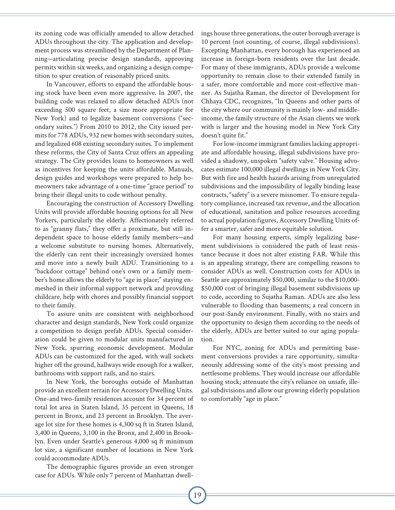its zoning code was officially amended to allow detached ADUs throughout the city. The application and development process was streamlined by the Department of Planning—articulating precise design standards, approving permits within six weeks, and organizing a design competition to spur creation of reasonably priced units.

In Vancouver, efforts to expand the affordable housing stock have been even more aggressive. In 2007, the building code was relaxed to allow detached ADUs (not exceeding 500 square feet, a size more appropriate for New York) and to legalize basement conversions ("secondary suites.") From 2010 to 2012, the City issued permits for 778 ADUs, 932 new homes with secondary suites, and legalized 608 existing secondary suites. To implement these reforms, the City of Santa Cruz offers an appealing strategy. The City provides loans to homeowners as well as incentives for keeping the units affordable. Manuals, design guides and workshops were prepared to help homeowners take advantage of a one-time "grace period" to bring their illegal units to code without penalty.

Encouraging the construction of Accessory Dwelling Units will provide affordable housing options for all New Yorkers, particularly the elderly. Affectionately referred to as "granny flats," they offer a proximate, but still independent space to house elderly family members—and a welcome substitute to nursing homes. Alternatively, the elderly can rent their increasingly oversized homes and move into a newly built ADU. Transitioning to a "backdoor cottage" behind one's own or a family member's home allows the elderly to "age in place;" staying enmeshed in their informal support network and providing childcare, help with chores and possibly financial support to their family.

To assure units are consistent with neighborhood character and design standards, New York could organize a competition to design prefab ADUs. Special consideration could be given to modular units manufactured in New York, spurring economic development. Modular ADUs can be customized for the aged, with wall sockets higher off the ground, hallways wide enough for a walker, bathrooms with support rails, and no stairs.

In New York, the boroughs outside of Manhattan provide an excellent terrain for Accessory Dwelling Units. One-and two-family residences account for 34 percent of total lot area in Staten Island, 35 percent in Queens, 18 percent in Bronx, and 23 percent in Brooklyn. The average lot size for these homes is 4,300 sq ft in Staten Island, 3,400 in Queens, 3,100 in the Bronx, and 2,400 in Brooklyn. Even under Seattle's generous 4,000 sq ft minimum lot size, a significant number of locations in New York could accommodate ADUs.

The demographic figures provide an even stronger case for ADUs. While only 7 percent of Manhattan dwellings house three generations, the outer borough average is 10 percent (not counting, of course, illegal subdivisions). Excepting Manhattan, every borough has experienced an increase in foreign-born residents over the last decade. For many of these immigrants, ADUs provide a welcome opportunity to remain close to their extended family in a safer, more comfortable and more cost-effective manner. As Sujatha Raman, the director of Development for Chhaya CDC, recognizes, "In Queens and other parts of the city where our community is mainly low- and middleincome, the family structure of the Asian clients we work with is larger and the housing model in New York City doesn't quite fit."

For low-income immigrant families lacking appropriate and affordable housing, illegal subdivisions have provided a shadowy, unspoken "safety valve." Housing advocates estimate 100,000 illegal dwellings in New York City. But with fire and health hazards arising from unregulated subdivisions and the impossibility of legally binding lease contracts, "safety" is a severe misnomer. To ensure regulatory compliance, increased tax revenue, and the allocation of educational, sanitation and police resources according to actual population figures, Accessory Dwelling Units offer a smarter, safer and more equitable solution.

For many housing experts, simply legalizing basement subdivisions is considered the path of least resistance because it does not alter existing FAR. While this is an appealing strategy, there are compelling reasons to consider ADUs as well. Construction costs for ADUs in Seattle are approximately \$50,000, similar to the \$10,000- \$50,000 cost of bringing illegal basement subdivisions up to code, according to Sujatha Raman. ADUs are also less vulnerable to flooding than basements; a real concern in our post-Sandy environment. Finally, with no stairs and the opportunity to design them according to the needs of the elderly, ADUs are better suited to our aging population.

For NYC, zoning for ADUs and permitting basement conversions provides a rare opportunity, simultaneously addressing some of the city's most pressing and nettlesome problems. They would increase our affordable housing stock; attenuate the city's reliance on unsafe, illegal subdivisions and allow our growing elderly population to comfortably "age in place."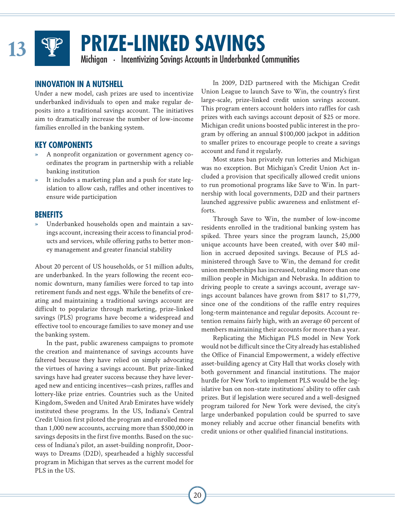

# **PRIZE-LINKED SAVINGS**<br>
Michigan • Incentivizing Savings Accounts in Underbanked Communities

### **INNOVATION IN A NUTSHELL**

Under a new model, cash prizes are used to incentivize underbanked individuals to open and make regular deposits into a traditional savings account. The initiatives aim to dramatically increase the number of low-income families enrolled in the banking system.

### **KEY COMPONENTS**

- » A nonprofit organization or government agency coordinates the program in partnership with a reliable banking institution
- It includes a marketing plan and a push for state legislation to allow cash, raffles and other incentives to ensure wide participation

### **BENEFITS**

» Underbanked households open and maintain a savings account, increasing their access to financial products and services, while offering paths to better money management and greater financial stability

About 20 percent of US households, or 51 million adults, are underbanked. In the years following the recent economic downturn, many families were forced to tap into retirement funds and nest eggs. While the benefits of creating and maintaining a traditional savings account are difficult to popularize through marketing, prize-linked savings (PLS) programs have become a widespread and effective tool to encourage families to save money and use the banking system.

In the past, public awareness campaigns to promote the creation and maintenance of savings accounts have faltered because they have relied on simply advocating the virtues of having a savings account. But prize-linked savings have had greater success because they have leveraged new and enticing incentives—cash prizes, raffles and lottery-like prize entries. Countries such as the United Kingdom, Sweden and United Arab Emirates have widely instituted these programs. In the US, Indiana's Central Credit Union first piloted the program and enrolled more than 1,000 new accounts, accruing more than \$500,000 in savings deposits in the first five months. Based on the success of Indiana's pilot, an asset-building nonprofit, Doorways to Dreams (D2D), spearheaded a highly successful program in Michigan that serves as the current model for PLS in the US.

In 2009, D2D partnered with the Michigan Credit Union League to launch Save to Win, the country's first large-scale, prize-linked credit union savings account. This program enters account holders into raffles for cash prizes with each savings account deposit of \$25 or more. Michigan credit unions boosted public interest in the program by offering an annual \$100,000 jackpot in addition to smaller prizes to encourage people to create a savings account and fund it regularly.

Most states ban privately run lotteries and Michigan was no exception. But Michigan's Credit Union Act included a provision that specifically allowed credit unions to run promotional programs like Save to Win. In partnership with local governments, D2D and their partners launched aggressive public awareness and enlistment efforts.

Through Save to Win, the number of low-income residents enrolled in the traditional banking system has spiked. Three years since the program launch, 25,000 unique accounts have been created, with over \$40 million in accrued deposited savings. Because of PLS administered through Save to Win, the demand for credit union memberships has increased, totaling more than one million people in Michigan and Nebraska. In addition to driving people to create a savings account, average savings account balances have grown from \$817 to \$1,779, since one of the conditions of the raffle entry requires long-term maintenance and regular deposits. Account retention remains fairly high, with an average 60 percent of members maintaining their accounts for more than a year.

Replicating the Michigan PLS model in New York would not be difficult since the City already has established the Office of Financial Empowerment, a widely effective asset-building agency at City Hall that works closely with both government and financial institutions. The major hurdle for New York to implement PLS would be the legislative ban on non-state institutions' ability to offer cash prizes. But if legislation were secured and a well-designed program tailored for New York were devised, the city's large underbanked population could be spurred to save money reliably and accrue other financial benefits with credit unions or other qualified financial institutions.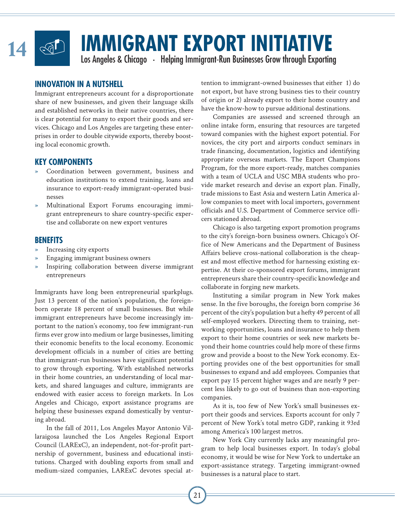

## **IMMIGRANT EXPORT INITIATIVE**<br>
Los Angeles & Chicago • Helping Immigrant-Run Businesses Grow through Exporting

### **INNOVATION IN A NUTSHELL**

Immigrant entrepreneurs account for a disproportionate share of new businesses, and given their language skills and established networks in their native countries, there is clear potential for many to export their goods and services. Chicago and Los Angeles are targeting these enterprises in order to double citywide exports, thereby boosting local economic growth.

### **KEY COMPONENTS**

- Coordination between government, business and education institutions to extend training, loans and insurance to export-ready immigrant-operated businesses
- » Multinational Export Forums encouraging immigrant entrepreneurs to share country-specific expertise and collaborate on new export ventures

### **BENEFITS**

- » Increasing city exports
- » Engaging immigrant business owners
- Inspiring collaboration between diverse immigrant entrepreneurs

Immigrants have long been entrepreneurial sparkplugs. Just 13 percent of the nation's population, the foreignborn operate 18 percent of small businesses. But while immigrant entrepreneurs have become increasingly important to the nation's economy, too few immigrant-run firms ever grow into medium or large businesses, limiting their economic benefits to the local economy. Economic development officials in a number of cities are betting that immigrant-run businesses have significant potential to grow through exporting. With established networks in their home countries, an understanding of local markets, and shared languages and culture, immigrants are endowed with easier access to foreign markets. In Los Angeles and Chicago, export assistance programs are helping these businesses expand domestically by venturing abroad.

In the fall of 2011, Los Angeles Mayor Antonio Villaraigosa launched the Los Angeles Regional Export Council (LARExC), an independent, not-for-profit partnership of government, business and educational institutions. Charged with doubling exports from small and medium-sized companies, LARExC devotes special attention to immigrant-owned businesses that either 1) do not export, but have strong business ties to their country of origin or 2) already export to their home country and have the know-how to pursue additional destinations.

Companies are assessed and screened through an online intake form, ensuring that resources are targeted toward companies with the highest export potential. For novices, the city port and airports conduct seminars in trade financing, documentation, logistics and identifying appropriate overseas markets. The Export Champions Program, for the more export-ready, matches companies with a team of UCLA and USC MBA students who provide market research and devise an export plan. Finally, trade missions to East Asia and western Latin America allow companies to meet with local importers, government officials and U.S. Department of Commerce service officers stationed abroad.

Chicago is also targeting export promotion programs to the city's foreign-born business owners. Chicago's Office of New Americans and the Department of Business Affairs believe cross-national collaboration is the cheapest and most effective method for harnessing existing expertise. At their co-sponsored export forums, immigrant entrepreneurs share their country-specific knowledge and collaborate in forging new markets.

Instituting a similar program in New York makes sense. In the five boroughs, the foreign born comprise 36 percent of the city's population but a hefty 49 percent of all self-employed workers. Directing them to training, networking opportunities, loans and insurance to help them export to their home countries or seek new markets beyond their home countries could help more of these firms grow and provide a boost to the New York economy. Exporting provides one of the best opportunities for small businesses to expand and add employees. Companies that export pay 15 percent higher wages and are nearly 9 percent less likely to go out of business than non-exporting companies.

As it is, too few of New York's small businesses export their goods and services. Exports account for only 7 percent of New York's total metro GDP, ranking it 93rd among America's 100 largest metros.

New York City currently lacks any meaningful program to help local businesses export. In today's global economy, it would be wise for New York to undertake an export-assistance strategy. Targeting immigrant-owned businesses is a natural place to start.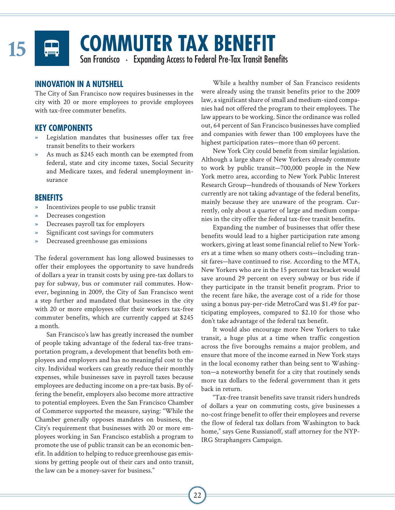

# **COMMUTER TAX BENEFIT**<br>
San Francisco • Expanding Access to Federal Pre-Tax Transit Benefits

### **INNOVATION IN A NUTSHELL**

The City of San Francisco now requires businesses in the city with 20 or more employees to provide employees with tax-free commuter benefits.

### **KEY COMPONENTS**

- Legislation mandates that businesses offer tax free transit benefits to their workers
- As much as \$245 each month can be exempted from federal, state and city income taxes, Social Security and Medicare taxes, and federal unemployment insurance

### **BENEFITS**

- » Incentivizes people to use public transit
- » Decreases congestion
- » Decreases payroll tax for employers
- Significant cost savings for commuters
- » Decreased greenhouse gas emissions

The federal government has long allowed businesses to offer their employees the opportunity to save hundreds of dollars a year in transit costs by using pre-tax dollars to pay for subway, bus or commuter rail commutes. However, beginning in 2009, the City of San Francisco went a step further and mandated that businesses in the city with 20 or more employees offer their workers tax-free commuter benefits, which are currently capped at \$245 a month.

San Francisco's law has greatly increased the number of people taking advantage of the federal tax-free transportation program, a development that benefits both employees and employers and has no meaningful cost to the city. Individual workers can greatly reduce their monthly expenses, while businesses save in payroll taxes because employees are deducting income on a pre-tax basis. By offering the benefit, employers also become more attractive to potential employees. Even the San Francisco Chamber of Commerce supported the measure, saying: "While the Chamber generally opposes mandates on business, the City's requirement that businesses with 20 or more employees working in San Francisco establish a program to promote the use of public transit can be an economic benefit. In addition to helping to reduce greenhouse gas emissions by getting people out of their cars and onto transit, the law can be a money-saver for business."

While a healthy number of San Francisco residents were already using the transit benefits prior to the 2009 law, a significant share of small and medium-sized companies had not offered the program to their employees. The law appears to be working. Since the ordinance was rolled out, 64 percent of San Francisco businesses have complied and companies with fewer than 100 employees have the highest participation rates—more than 60 percent.

New York City could benefit from similar legislation. Although a large share of New Yorkers already commute to work by public transit—700,000 people in the New York metro area, according to New York Public Interest Research Group—hundreds of thousands of New Yorkers currently are not taking advantage of the federal benefits, mainly because they are unaware of the program. Currently, only about a quarter of large and medium companies in the city offer the federal tax-free transit benefits.

Expanding the number of businesses that offer these benefits would lead to a higher participation rate among workers, giving at least some financial relief to New Yorkers at a time when so many others costs—including transit fares—have continued to rise. According to the MTA, New Yorkers who are in the 15 percent tax bracket would save around 29 percent on every subway or bus ride if they participate in the transit benefit program. Prior to the recent fare hike, the average cost of a ride for those using a bonus pay-per-ride MetroCard was \$1.49 for participating employees, compared to \$2.10 for those who don't take advantage of the federal tax benefit.

It would also encourage more New Yorkers to take transit, a huge plus at a time when traffic congestion across the five boroughs remains a major problem, and ensure that more of the income earned in New York stays in the local economy rather than being sent to Washington—a noteworthy benefit for a city that routinely sends more tax dollars to the federal government than it gets back in return.

"Tax-free transit benefits save transit riders hundreds of dollars a year on commuting costs, give businesses a no-cost fringe benefit to offer their employees and reverse the flow of federal tax dollars from Washington to back home," says Gene Russianoff, staff attorney for the NYP-IRG Straphangers Campaign.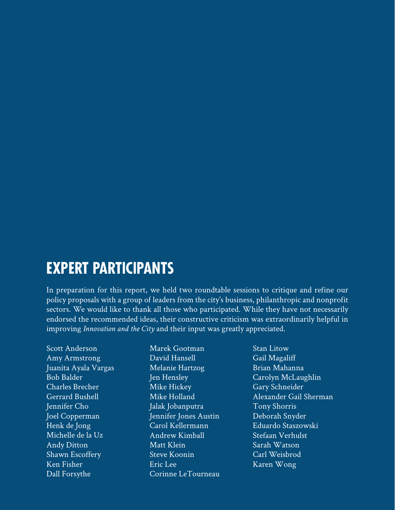### **EXPERT PARTICIPANTS**

In preparation for this report, we held two roundtable sessions to critique and refine our policy proposals with a group of leaders from the city's business, philanthropic and nonprofit sectors. We would like to thank all those who participated. While they have not necessarily endorsed the recommended ideas, their constructive criticism was extraordinarily helpful in improving *Innovation and the City* and their input was greatly appreciated.

Scott Anderson Amy Armstrong Juanita Ayala Vargas Bob Balder Charles Brecher Gerrard Bushell Jennifer Cho Joel Copperman Henk de Jong Michelle de la Uz Andy Ditton Shawn Escoffery Ken Fisher Dall Forsythe

Marek Gootman David Hansell Melanie Hartzog Jen Hensley Mike Hickey Mike Holland Jalak Jobanputra Jennifer Jones Austin Carol Kellermann Andrew Kimball Matt Klein Steve Koonin Eric Lee Corinne LeTourneau Stan Litow Gail Magaliff Brian Mahanna Carolyn McLaughlin Gary Schneider Alexander Gail Sherman Tony Shorris Deborah Snyder Eduardo Staszowski Stefaan Verhulst Sarah Watson Carl Weisbrod Karen Wong